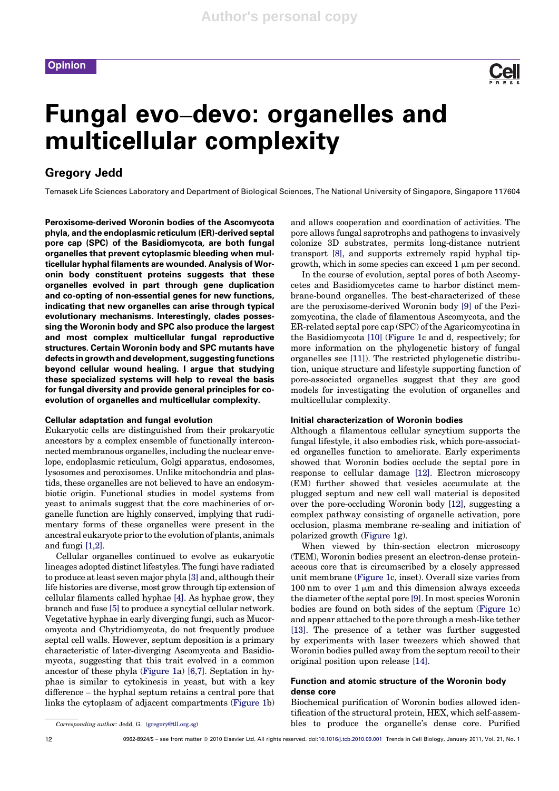

# Fungal evo–devo: organelles and multicellular complexity

# Gregory Jedd

Temasek Life Sciences Laboratory and Department of Biological Sciences, The National University of Singapore, Singapore 117604

Peroxisome-derived Woronin bodies of the Ascomycota phyla, and the endoplasmic reticulum (ER)-derived septal pore cap (SPC) of the Basidiomycota, are both fungal organelles that prevent cytoplasmic bleeding when multicellular hyphal filaments are wounded. Analysis of Woronin body constituent proteins suggests that these organelles evolved in part through gene duplication and co-opting of non-essential genes for new functions, indicating that new organelles can arise through typical evolutionary mechanisms. Interestingly, clades possessing the Woronin body and SPC also produce the largest and most complex multicellular fungal reproductive structures. Certain Woronin body and SPC mutants have defects in growth and development, suggesting functions beyond cellular wound healing. I argue that studying these specialized systems will help to reveal the basis for fungal diversity and provide general principles for coevolution of organelles and multicellular complexity.

### Cellular adaptation and fungal evolution

Eukaryotic cells are distinguished from their prokaryotic ancestors by a complex ensemble of functionally interconnected membranous organelles, including the nuclear envelope, endoplasmic reticulum, Golgi apparatus, endosomes, lysosomes and peroxisomes. Unlike mitochondria and plastids, these organelles are not believed to have an endosymbiotic origin. Functional studies in model systems from yeast to animals suggest that the core machineries of organelle function are highly conserved, implying that rudimentary forms of these organelles were present in the ancestral eukaryote prior to the evolution of plants, animals and fungi [1,2].

Cellular organelles continued to evolve as eukaryotic lineages adopted distinct lifestyles. The fungi have radiated to produce at least seven major phyla [3] and, although their life histories are diverse, most grow through tip extension of cellular filaments called hyphae [4]. As hyphae grow, they branch and fuse [5] to produce a syncytial cellular network. Vegetative hyphae in early diverging fungi, such as Mucoromycota and Chytridiomycota, do not frequently produce septal cell walls. However, septum deposition is a primary characteristic of later-diverging Ascomycota and Basidiomycota, suggesting that this trait evolved in a common ancestor of these phyla (Figure 1a) [6,7]. Septation in hyphae is similar to cytokinesis in yeast, but with a key difference – the hyphal septum retains a central pore that links the cytoplasm of adjacent compartments (Figure 1b)

and allows cooperation and coordination of activities. The pore allows fungal saprotrophs and pathogens to invasively colonize 3D substrates, permits long-distance nutrient transport [8], and supports extremely rapid hyphal tipgrowth, which in some species can exceed 1  $\mu$ m per second.

In the course of evolution, septal pores of both Ascomycetes and Basidiomycetes came to harbor distinct membrane-bound organelles. The best-characterized of these are the peroxisome-derived Woronin body [9] of the Pezizomycotina, the clade of filamentous Ascomycota, and the ER-related septal pore cap (SPC) of the Agaricomycotina in the Basidiomycota [10] (Figure 1c and d, respectively; for more information on the phylogenetic history of fungal organelles see [11]). The restricted phylogenetic distribution, unique structure and lifestyle supporting function of pore-associated organelles suggest that they are good models for investigating the evolution of organelles and multicellular complexity.

#### Initial characterization of Woronin bodies

Although a filamentous cellular syncytium supports the fungal lifestyle, it also embodies risk, which pore-associated organelles function to ameliorate. Early experiments showed that Woronin bodies occlude the septal pore in response to cellular damage [12]. Electron microscopy (EM) further showed that vesicles accumulate at the plugged septum and new cell wall material is deposited over the pore-occluding Woronin body [12], suggesting a complex pathway consisting of organelle activation, pore occlusion, plasma membrane re-sealing and initiation of polarized growth (Figure 1g).

When viewed by thin-section electron microscopy (TEM), Woronin bodies present an electron-dense proteinaceous core that is circumscribed by a closely appressed unit membrane (Figure 1c, inset). Overall size varies from 100 nm to over  $1 \mu m$  and this dimension always exceeds the diameter of the septal pore [9]. In most species Woronin bodies are found on both sides of the septum (Figure 1c) and appear attached to the pore through a mesh-like tether [13]. The presence of a tether was further suggested by experiments with laser tweezers which showed that Woronin bodies pulled away from the septum recoil to their original position upon release [14].

# Function and atomic structure of the Woronin body dense core

Biochemical purification of Woronin bodies allowed identification of the structural protein, HEX, which self-assembles to produce the organelle's dense core. Purified

Corresponding author: Jedd, G. (gregory@tll.org.sg)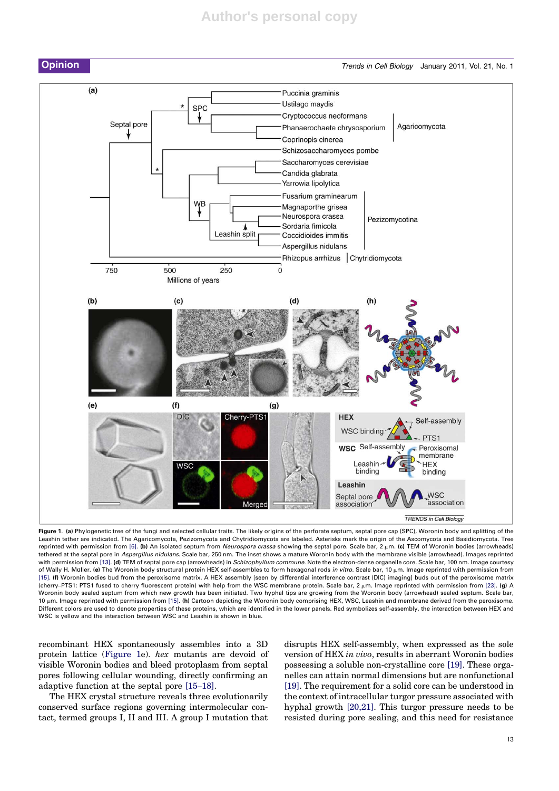# **Author's personal copy**



Figure 1. (a) Phylogenetic tree of the fungi and selected cellular traits. The likely origins of the perforate septum, septal pore cap (SPC), Woronin body and splitting of the Leashin tether are indicated. The Agaricomycota, Pezizomycota and Chytridiomycota are labeled. Asterisks mark the origin of the Ascomycota and Basidiomycota. Tree reprinted with permission from [6]. (b) An isolated septum from Neurospora crassa showing the septal pore. Scale bar,  $2 \mu m$ . (c) TEM of Woronin bodies (arrowheads) tethered at the septal pore in Aspergillus nidulans. Scale bar, 250 nm. The inset shows a mature Woronin body with the membrane visible (arrowhead). Images reprinted with permission from [13]. (d) TEM of septal pore cap (arrowheads) in Schizophyllum commune. Note the electron-dense organelle core. Scale bar, 100 nm. Image courtesy of Wally H. Müller. (e) The Woronin body structural protein HEX self-assembles to form hexagonal rods in vitro. Scale bar, 10 µm. Image reprinted with permission from [15]. (f) Woronin bodies bud from the peroxisome matrix. A HEX assembly [seen by differential interference contrast (DIC) imaging] buds out of the peroxisome matrix (cherry–PTS1: PTS1 fused to cherry fluorescent protein) with help from the WSC membrane protein. Scale bar, 2  $\mu$ m. Image reprinted with permission from [23]. (g) A Woronin body sealed septum from which new growth has been initiated. Two hyphal tips are growing from the Woronin body (arrowhead) sealed septum. Scale bar, 10  $µm$ . Image reprinted with permission from [15]. (h) Cartoon depicting the Woronin body comprising HEX, WSC, Leashin and membrane derived from the peroxisome. Different colors are used to denote properties of these proteins, which are identified in the lower panels. Red symbolizes self-assembly, the interaction between HEX and WSC is yellow and the interaction between WSC and Leashin is shown in blue.

recombinant HEX spontaneously assembles into a 3D protein lattice (Figure 1e). hex mutants are devoid of visible Woronin bodies and bleed protoplasm from septal pores following cellular wounding, directly confirming an adaptive function at the septal pore [15–18].

The HEX crystal structure reveals three evolutionarily conserved surface regions governing intermolecular contact, termed groups I, II and III. A group I mutation that disrupts HEX self-assembly, when expressed as the sole version of HEX in vivo, results in aberrant Woronin bodies possessing a soluble non-crystalline core [19]. These organelles can attain normal dimensions but are nonfunctional [19]. The requirement for a solid core can be understood in the context of intracellular turgor pressure associated with hyphal growth [20,21]. This turgor pressure needs to be resisted during pore sealing, and this need for resistance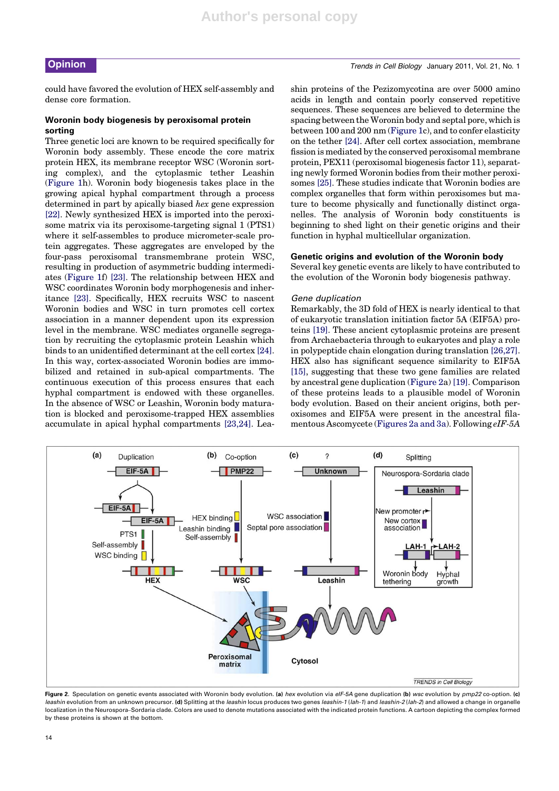# **Opinion** Trends in Cell Biology January 2011, Vol. 21, No. 1

could have favored the evolution of HEX self-assembly and dense core formation.

#### Woronin body biogenesis by peroxisomal protein sorting

Three genetic loci are known to be required specifically for Woronin body assembly. These encode the core matrix protein HEX, its membrane receptor WSC (Woronin sorting complex), and the cytoplasmic tether Leashin (Figure 1h). Woronin body biogenesis takes place in the growing apical hyphal compartment through a process determined in part by apically biased hex gene expression [22]. Newly synthesized HEX is imported into the peroxisome matrix via its peroxisome-targeting signal 1 (PTS1) where it self-assembles to produce micrometer-scale protein aggregates. These aggregates are enveloped by the four-pass peroxisomal transmembrane protein WSC, resulting in production of asymmetric budding intermediates (Figure 1f) [23]. The relationship between HEX and WSC coordinates Woronin body morphogenesis and inheritance [23]. Specifically, HEX recruits WSC to nascent Woronin bodies and WSC in turn promotes cell cortex association in a manner dependent upon its expression level in the membrane. WSC mediates organelle segregation by recruiting the cytoplasmic protein Leashin which binds to an unidentified determinant at the cell cortex [24]. In this way, cortex-associated Woronin bodies are immobilized and retained in sub-apical compartments. The continuous execution of this process ensures that each hyphal compartment is endowed with these organelles. In the absence of WSC or Leashin, Woronin body maturation is blocked and peroxisome-trapped HEX assemblies accumulate in apical hyphal compartments [23,24]. Leashin proteins of the Pezizomycotina are over 5000 amino acids in length and contain poorly conserved repetitive sequences. These sequences are believed to determine the spacing between the Woronin body and septal pore, which is between 100 and 200 nm (Figure 1c), and to confer elasticity on the tether [24]. After cell cortex association, membrane fission is mediated by the conserved peroxisomal membrane protein, PEX11 (peroxisomal biogenesis factor 11), separating newly formed Woronin bodies from their mother peroxisomes [25]. These studies indicate that Woronin bodies are complex organelles that form within peroxisomes but mature to become physically and functionally distinct organelles. The analysis of Woronin body constituents is beginning to shed light on their genetic origins and their function in hyphal multicellular organization.

#### Genetic origins and evolution of the Woronin body

Several key genetic events are likely to have contributed to the evolution of the Woronin body biogenesis pathway.

#### Gene duplication

Remarkably, the 3D fold of HEX is nearly identical to that of eukaryotic translation initiation factor 5A (EIF5A) proteins [19]. These ancient cytoplasmic proteins are present from Archaebacteria through to eukaryotes and play a role in polypeptide chain elongation during translation [26,27]. HEX also has significant sequence similarity to EIF5A [15], suggesting that these two gene families are related by ancestral gene duplication (Figure 2a) [19]. Comparison of these proteins leads to a plausible model of Woronin body evolution. Based on their ancient origins, both peroxisomes and EIF5A were present in the ancestral filamentous Ascomycete (Figures 2a and 3a). Following eIF-5A



Figure 2. Speculation on genetic events associated with Woronin body evolution. (a) hex evolution via eIF-5A gene duplication (b) wsc evolution by pmp22 co-option. (c) leashin evolution from an unknown precursor. (d) Splitting at the leashin locus produces two genes leashin-1 (lah-1) and leashin-2 (lah-2) and allowed a change in organelle localization in the Neurospora–Sordaria clade. Colors are used to denote mutations associated with the indicated protein functions. A cartoon depicting the complex formed by these proteins is shown at the bottom.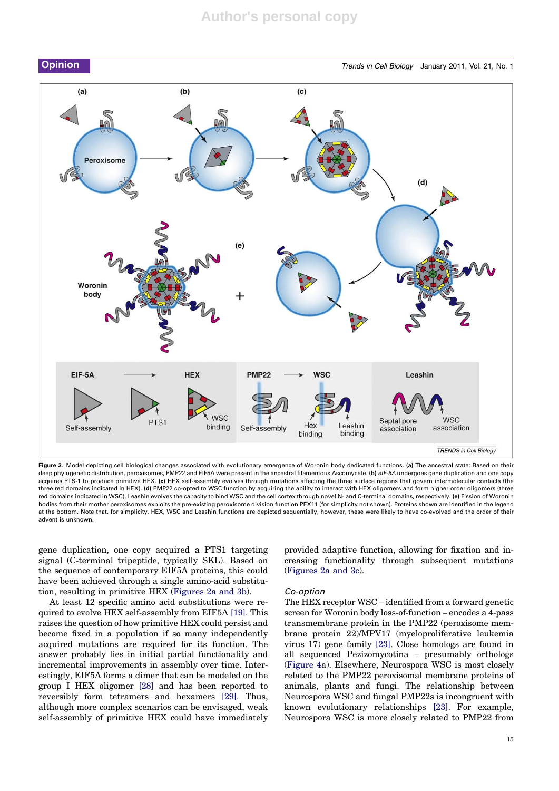

Figure 3. Model depicting cell biological changes associated with evolutionary emergence of Woronin body dedicated functions. (a) The ancestral state: Based on their deep phylogenetic distribution, peroxisomes, PMP22 and EIF5A were present in the ancestral filamentous Ascomycete. (b) eIF-5A undergoes gene duplication and one copy acquires PTS-1 to produce primitive HEX. (c) HEX self-assembly evolves through mutations affecting the three surface regions that govern intermolecular contacts (the three red domains indicated in HEX). (d) PMP22 co-opted to WSC function by acquiring the ability to interact with HEX oligomers and form higher order oligomers (three red domains indicated in WSC). Leashin evolves the capacity to bind WSC and the cell cortex through novel N- and C-terminal domains, respectively. (e) Fission of Woronin bodies from their mother peroxisomes exploits the pre-existing peroxisome division function PEX11 (for simplicity not shown). Proteins shown are identified in the legend at the bottom. Note that, for simplicity, HEX, WSC and Leashin functions are depicted sequentially, however, these were likely to have co-evolved and the order of their advent is unknown.

gene duplication, one copy acquired a PTS1 targeting signal (C-terminal tripeptide, typically SKL). Based on the sequence of contemporary EIF5A proteins, this could have been achieved through a single amino-acid substitution, resulting in primitive HEX (Figures 2a and 3b).

At least 12 specific amino acid substitutions were required to evolve HEX self-assembly from EIF5A [19]. This raises the question of how primitive HEX could persist and become fixed in a population if so many independently acquired mutations are required for its function. The answer probably lies in initial partial functionality and incremental improvements in assembly over time. Interestingly, EIF5A forms a dimer that can be modeled on the group I HEX oligomer [28] and has been reported to reversibly form tetramers and hexamers [29]. Thus, although more complex scenarios can be envisaged, weak self-assembly of primitive HEX could have immediately provided adaptive function, allowing for fixation and increasing functionality through subsequent mutations (Figures 2a and 3c).

#### Co-option

The HEX receptor WSC – identified from a forward genetic screen for Woronin body loss-of-function – encodes a 4-pass transmembrane protein in the PMP22 (peroxisome membrane protein 22)/MPV17 (myeloproliferative leukemia virus 17) gene family [23]. Close homologs are found in all sequenced Pezizomycotina – presumably orthologs (Figure 4a). Elsewhere, Neurospora WSC is most closely related to the PMP22 peroxisomal membrane proteins of animals, plants and fungi. The relationship between Neurospora WSC and fungal PMP22s is incongruent with known evolutionary relationships [23]. For example, Neurospora WSC is more closely related to PMP22 from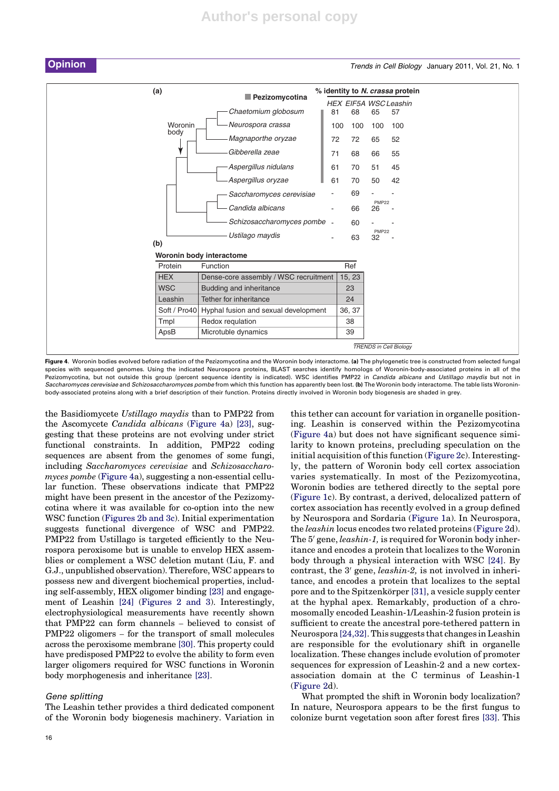

# **Opinion** Number 2011, Vol. 21, No. 1

| (a)          | Pezizomycotina                        | % identity to N. crassa protein |        |                    |                               |  |
|--------------|---------------------------------------|---------------------------------|--------|--------------------|-------------------------------|--|
|              |                                       |                                 |        |                    | <b>HEX EIF5A WSCLeashin</b>   |  |
|              | Chaetomium globosum                   | 81                              | 68     | 65                 | 57                            |  |
| Woronin      | Neurospora crassa                     | 100                             | 100    | 100                | 100                           |  |
| body         | Magnaporthe oryzae                    | 72                              | 72     | 65                 | 52                            |  |
|              | Gibberella zeae                       | 71                              | 68     | 66                 | 55                            |  |
|              | Aspergillus nidulans                  | 61                              | 70     | 51                 | 45                            |  |
|              | Aspergillus oryzae                    | 61                              | 70     | 50                 | 42                            |  |
|              | Saccharomyces cerevisiae              |                                 | 69     |                    |                               |  |
|              | Candida albicans                      |                                 | 66     | <b>PMP22</b><br>26 |                               |  |
|              | Schizosaccharomyces pombe -           |                                 | 60     |                    |                               |  |
| (b)          | Ustilago maydis                       |                                 | 63     | <b>PMP22</b><br>32 |                               |  |
|              | Woronin body interactome              |                                 |        |                    |                               |  |
| Protein      | Function                              |                                 | Ref    |                    |                               |  |
| <b>HEX</b>   | Dense-core assembly / WSC recruitment |                                 | 15, 23 |                    |                               |  |
| <b>WSC</b>   | Budding and inheritance               |                                 | 23     |                    |                               |  |
| Leashin      | Tether for inheritance                |                                 | 24     |                    |                               |  |
| Soft / Pro40 | Hyphal fusion and sexual development  |                                 | 36, 37 |                    |                               |  |
| Tmpl         | Redox requlation                      |                                 | 38     |                    |                               |  |
| ApsB         | Microtuble dynamics                   |                                 | 39     |                    |                               |  |
|              |                                       |                                 |        |                    | <b>TRENDS in Cell Biology</b> |  |

Figure 4. Woronin bodies evolved before radiation of the Pezizomycotina and the Woronin body interactome. (a) The phylogenetic tree is constructed from selected fungal species with sequenced genomes. Using the indicated Neurospora proteins, BLAST searches identify homologs of Woronin-body-associated proteins in all of the Pezizomycotina, but not outside this group (percent sequence identity is indicated). WSC identifies PMP22 in Candida albicans and Ustillago maydis but not in Saccharomyces cerevisiae and Schizosaccharomyces pombe from which this function has apparently been lost. (b) The Woronin body interactome. The table lists Woronin body-associated proteins along with a brief description of their function. Proteins directly involved in Woronin body biogenesis are shaded in grey.

the Basidiomycete Ustillago maydis than to PMP22 from the Ascomycete Candida albicans (Figure 4a) [23], suggesting that these proteins are not evolving under strict functional constraints. In addition, PMP22 coding sequences are absent from the genomes of some fungi, including Saccharomyces cerevisiae and Schizosaccharomyces pombe (Figure 4a), suggesting a non-essential cellular function. These observations indicate that PMP22 might have been present in the ancestor of the Pezizomycotina where it was available for co-option into the new WSC function (Figures 2b and 3c). Initial experimentation suggests functional divergence of WSC and PMP22. PMP22 from Ustillago is targeted efficiently to the Neurospora peroxisome but is unable to envelop HEX assemblies or complement a WSC deletion mutant (Liu, F. and G.J., unpublished observation). Therefore, WSC appears to possess new and divergent biochemical properties, including self-assembly, HEX oligomer binding [23] and engagement of Leashin [24] (Figures 2 and 3). Interestingly, electrophysiological measurements have recently shown that PMP22 can form channels – believed to consist of PMP22 oligomers – for the transport of small molecules across the peroxisome membrane [30]. This property could have predisposed PMP22 to evolve the ability to form even larger oligomers required for WSC functions in Woronin body morphogenesis and inheritance [23].

#### Gene splitting

The Leashin tether provides a third dedicated component of the Woronin body biogenesis machinery. Variation in this tether can account for variation in organelle positioning. Leashin is conserved within the Pezizomycotina (Figure 4a) but does not have significant sequence similarity to known proteins, precluding speculation on the initial acquisition of this function (Figure 2c). Interestingly, the pattern of Woronin body cell cortex association varies systematically. In most of the Pezizomycotina, Woronin bodies are tethered directly to the septal pore (Figure 1c). By contrast, a derived, delocalized pattern of cortex association has recently evolved in a group defined by Neurospora and Sordaria (Figure 1a). In Neurospora, the leashin locus encodes two related proteins (Figure 2d). The 5' gene, leashin-1, is required for Woronin body inheritance and encodes a protein that localizes to the Woronin body through a physical interaction with WSC [24]. By contrast, the  $3'$  gene, *leashin-2*, is not involved in inheritance, and encodes a protein that localizes to the septal pore and to the Spitzenkörper [31], a vesicle supply center at the hyphal apex. Remarkably, production of a chromosomally encoded Leashin-1/Leashin-2 fusion protein is sufficient to create the ancestral pore-tethered pattern in Neurospora [24,32]. This suggests that changes in Leashin are responsible for the evolutionary shift in organelle localization. These changes include evolution of promoter sequences for expression of Leashin-2 and a new cortexassociation domain at the C terminus of Leashin-1 (Figure 2d).

What prompted the shift in Woronin body localization? In nature, Neurospora appears to be the first fungus to colonize burnt vegetation soon after forest fires [33]. This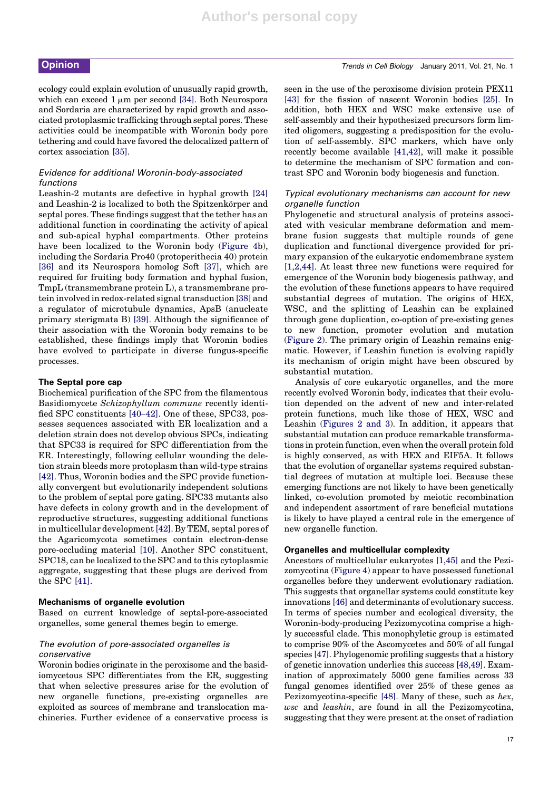ecology could explain evolution of unusually rapid growth, which can exceed  $1 \mu m$  per second [34]. Both Neurospora and Sordaria are characterized by rapid growth and associated protoplasmic trafficking through septal pores. These activities could be incompatible with Woronin body pore tethering and could have favored the delocalized pattern of cortex association [35].

### Evidence for additional Woronin-body-associated functions

Leashin-2 mutants are defective in hyphal growth [24] and Leashin-2 is localized to both the Spitzenkörper and septal pores. These findings suggest that the tether has an additional function in coordinating the activity of apical and sub-apical hyphal compartments. Other proteins have been localized to the Woronin body (Figure 4b), including the Sordaria Pro40 (protoperithecia 40) protein [36] and its Neurospora homolog Soft [37], which are required for fruiting body formation and hyphal fusion, TmpL (transmembrane protein L), a transmembrane protein involved in redox-related signal transduction [38] and a regulator of microtubule dynamics, ApsB (anucleate primary sterigmata B) [39]. Although the significance of their association with the Woronin body remains to be established, these findings imply that Woronin bodies have evolved to participate in diverse fungus-specific processes.

#### The Septal pore cap

Biochemical purification of the SPC from the filamentous Basidiomycete Schizophyllum commune recently identified SPC constituents [40–42]. One of these, SPC33, possesses sequences associated with ER localization and a deletion strain does not develop obvious SPCs, indicating that SPC33 is required for SPC differentiation from the ER. Interestingly, following cellular wounding the deletion strain bleeds more protoplasm than wild-type strains [42]. Thus, Woronin bodies and the SPC provide functionally convergent but evolutionarily independent solutions to the problem of septal pore gating. SPC33 mutants also have defects in colony growth and in the development of reproductive structures, suggesting additional functions in multicellular development[42]. By TEM, septal pores of the Agaricomycota sometimes contain electron-dense pore-occluding material [10]. Another SPC constituent, SPC18, can be localized to the SPC and to this cytoplasmic aggregate, suggesting that these plugs are derived from the SPC [41].

#### Mechanisms of organelle evolution

Based on current knowledge of septal-pore-associated organelles, some general themes begin to emerge.

#### The evolution of pore-associated organelles is conservative

Woronin bodies originate in the peroxisome and the basidiomycetous SPC differentiates from the ER, suggesting that when selective pressures arise for the evolution of new organelle functions, pre-existing organelles are exploited as sources of membrane and translocation machineries. Further evidence of a conservative process is

seen in the use of the peroxisome division protein PEX11 [43] for the fission of nascent Woronin bodies [25]. In addition, both HEX and WSC make extensive use of self-assembly and their hypothesized precursors form limited oligomers, suggesting a predisposition for the evolution of self-assembly. SPC markers, which have only recently become available [41,42], will make it possible to determine the mechanism of SPC formation and contrast SPC and Woronin body biogenesis and function.

#### Typical evolutionary mechanisms can account for new organelle function

Phylogenetic and structural analysis of proteins associated with vesicular membrane deformation and membrane fusion suggests that multiple rounds of gene duplication and functional divergence provided for primary expansion of the eukaryotic endomembrane system [1,2,44]. At least three new functions were required for emergence of the Woronin body biogenesis pathway, and the evolution of these functions appears to have required substantial degrees of mutation. The origins of HEX, WSC, and the splitting of Leashin can be explained through gene duplication, co-option of pre-existing genes to new function, promoter evolution and mutation (Figure 2). The primary origin of Leashin remains enigmatic. However, if Leashin function is evolving rapidly its mechanism of origin might have been obscured by substantial mutation.

Analysis of core eukaryotic organelles, and the more recently evolved Woronin body, indicates that their evolution depended on the advent of new and inter-related protein functions, much like those of HEX, WSC and Leashin (Figures 2 and 3). In addition, it appears that substantial mutation can produce remarkable transformations in protein function, even when the overall protein fold is highly conserved, as with HEX and EIF5A. It follows that the evolution of organellar systems required substantial degrees of mutation at multiple loci. Because these emerging functions are not likely to have been genetically linked, co-evolution promoted by meiotic recombination and independent assortment of rare beneficial mutations is likely to have played a central role in the emergence of new organelle function.

#### Organelles and multicellular complexity

Ancestors of multicellular eukaryotes [1,45] and the Pezizomycotina (Figure 4) appear to have possessed functional organelles before they underwent evolutionary radiation. This suggests that organellar systems could constitute key innovations [46] and determinants of evolutionary success. In terms of species number and ecological diversity, the Woronin-body-producing Pezizomycotina comprise a highly successful clade. This monophyletic group is estimated to comprise 90% of the Ascomycetes and 50% of all fungal species [47]. Phylogenomic profiling suggests that a history of genetic innovation underlies this success [48,49]. Examination of approximately 5000 gene families across 33 fungal genomes identified over 25% of these genes as Pezizomycotina-specific [48]. Many of these, such as hex, wsc and leashin, are found in all the Pezizomycotina, suggesting that they were present at the onset of radiation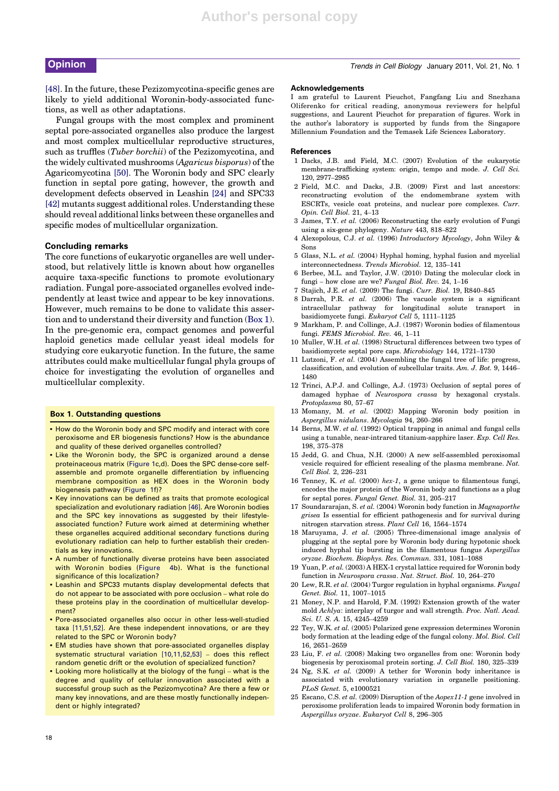[48]. In the future, these Pezizomycotina-specific genes are likely to yield additional Woronin-body-associated functions, as well as other adaptations.

Fungal groups with the most complex and prominent septal pore-associated organelles also produce the largest and most complex multicellular reproductive structures, such as truffles (*Tuber borchii*) of the Pezizomycotina, and the widely cultivated mushrooms (Agaricus bisporus) of the Agaricomycotina [50]. The Woronin body and SPC clearly function in septal pore gating, however, the growth and development defects observed in Leashin [24] and SPC33 [42] mutants suggest additional roles. Understanding these should reveal additional links between these organelles and specific modes of multicellular organization.

#### Concluding remarks

The core functions of eukaryotic organelles are well understood, but relatively little is known about how organelles acquire taxa-specific functions to promote evolutionary radiation. Fungal pore-associated organelles evolved independently at least twice and appear to be key innovations. However, much remains to be done to validate this assertion and to understand their diversity and function (Box 1). In the pre-genomic era, compact genomes and powerful haploid genetics made cellular yeast ideal models for studying core eukaryotic function. In the future, the same attributes could make multicellular fungal phyla groups of choice for investigating the evolution of organelles and multicellular complexity.

#### Box 1. Outstanding questions

- How do the Woronin body and SPC modify and interact with core peroxisome and ER biogenesis functions? How is the abundance and quality of these derived organelles controlled?
- Like the Woronin body, the SPC is organized around a dense proteinaceous matrix (Figure 1c,d). Does the SPC dense-core selfassemble and promote organelle differentiation by influencing membrane composition as HEX does in the Woronin body biogenesis pathway (Figure 1f)?
- Key innovations can be defined as traits that promote ecological specialization and evolutionary radiation [46]. Are Woronin bodies and the SPC key innovations as suggested by their lifestyleassociated function? Future work aimed at determining whether these organelles acquired additional secondary functions during evolutionary radiation can help to further establish their credentials as key innovations.
- A number of functionally diverse proteins have been associated with Woronin bodies (Figure 4b). What is the functional significance of this localization?
- Leashin and SPC33 mutants display developmental defects that do not appear to be associated with pore occlusion – what role do these proteins play in the coordination of multicellular development?
- Pore-associated organelles also occur in other less-well-studied taxa [11,51,52]. Are these independent innovations, or are they related to the SPC or Woronin body?
- **EM** studies have shown that pore-associated organelles display systematic structural variation [10,11,52,53] – does this reflect random genetic drift or the evolution of specialized function?
- Looking more holistically at the biology of the fungi what is the degree and quality of cellular innovation associated with a successful group such as the Pezizomycotina? Are there a few or many key innovations, and are these mostly functionally independent or highly integrated?

# **Opinion** Trends in Cell Biology January 2011, Vol. 21, No. 1

#### Acknowledgements

I am grateful to Laurent Pieuchot, Fangfang Liu and Snezhana Oliferenko for critical reading, anonymous reviewers for helpful suggestions, and Laurent Pieuchot for preparation of figures. Work in the author's laboratory is supported by funds from the Singapore Millennium Foundation and the Temasek Life Sciences Laboratory.

#### **References**

- 1 Dacks, J.B. and Field, M.C. (2007) Evolution of the eukaryotic membrane-trafficking system: origin, tempo and mode. J. Cell Sci. 120, 2977–2985
- 2 Field, M.C. and Dacks, J.B. (2009) First and last ancestors: reconstructing evolution of the endomembrane system with ESCRTs, vesicle coat proteins, and nuclear pore complexes. Curr. Opin. Cell Biol. 21, 4–13
- 3 James, T.Y. et al. (2006) Reconstructing the early evolution of Fungi using a six-gene phylogeny. Nature 443, 818–822
- 4 Alexopolous, C.J. et al. (1996) Introductory Mycology, John Wiley & Sons
- 5 Glass, N.L. et al. (2004) Hyphal homing, hyphal fusion and mycelial interconnectedness. Trends Microbiol. 12, 135–141
- 6 Berbee, M.L. and Taylor, J.W. (2010) Dating the molecular clock in fungi – how close are we? Fungal Biol. Rev. 24, 1–16
- 7 Stajich, J.E. et al. (2009) The fungi. Curr. Biol. 19, R840–845
- 8 Darrah, P.R. et al. (2006) The vacuole system is a significant intracellular pathway for longitudinal solute transport in basidiomycete fungi. Eukaryot Cell 5, 1111–1125
- 9 Markham, P. and Collinge, A.J. (1987) Woronin bodies of filamentous fungi. FEMS Microbiol. Rev. 46, 1–11
- 10 Muller, W.H. et al. (1998) Structural differences between two types of basidiomycete septal pore caps. Microbiology 144, 1721–1730
- 11 Lutzoni, F. et al. (2004) Assembling the fungal tree of life: progress, classification, and evolution of subcellular traits. Am. J. Bot. 9, 1446– 1480
- 12 Trinci, A.P.J. and Collinge, A.J. (1973) Occlusion of septal pores of damaged hyphae of Neurospora crassa by hexagonal crystals. Protoplasma 80, 57–67
- 13 Momany, M. et al. (2002) Mapping Woronin body position in Aspergillus nidulans. Mycologia 94, 260–266
- 14 Berns, M.W. et al. (1992) Optical trapping in animal and fungal cells using a tunable, near-intrared titanium-sapphire laser. Exp. Cell Res. 198, 375–378
- 15 Jedd, G. and Chua, N.H. (2000) A new self-assembled peroxisomal vesicle required for efficient resealing of the plasma membrane. Nat. Cell Biol. 2, 226–231
- 16 Tenney, K. et al. (2000) hex-1, a gene unique to filamentous fungi, encodes the major protein of the Woronin body and functions as a plug for septal pores. Fungal Genet. Biol. 31, 205–217
- 17 Soundararajan, S. et al. (2004) Woronin body function in Magnaporthe grisea Is essential for efficient pathogenesis and for survival during nitrogen starvation stress. Plant Cell 16, 1564–1574
- 18 Maruyama, J. et al. (2005) Three-dimensional image analysis of plugging at the septal pore by Woronin body during hypotonic shock induced hyphal tip bursting in the filamentous fungus Aspergillus oryzae. Biochem. Biophys. Res. Commun. 331, 1081–1088
- 19 Yuan, P. et al. (2003) A HEX-1 crystal lattice required for Woronin body function in Neurospora crassa. Nat. Struct. Biol. 10, 264–270
- 20 Lew, R.R. et al. (2004) Turgor regulation in hyphal organisms. Fungal Genet. Biol. 11, 1007–1015
- 21 Money, N.P. and Harold, F.M. (1992) Extension growth of the water mold Achlya: interplay of turgor and wall strength. Proc. Natl. Acad. Sci. U. S. A. 15, 4245–4259
- 22 Tey, W.K. et al. (2005) Polarized gene expression determines Woronin body formation at the leading edge of the fungal colony. Mol. Biol. Cell 16, 2651–2659
- 23 Liu, F. et al. (2008) Making two organelles from one: Woronin body biogenesis by peroxisomal protein sorting. J. Cell Biol. 180, 325–339
- 24 Ng, S.K. et al. (2009) A tether for Woronin body inheritance is associated with evolutionary variation in organelle positioning. PLoS Genet. 5, e1000521
- 25 Escano, C.S. et al. (2009) Disruption of the  $Aopex11-1$  gene involved in peroxisome proliferation leads to impaired Woronin body formation in Aspergillus oryzae. Eukaryot Cell 8, 296–305